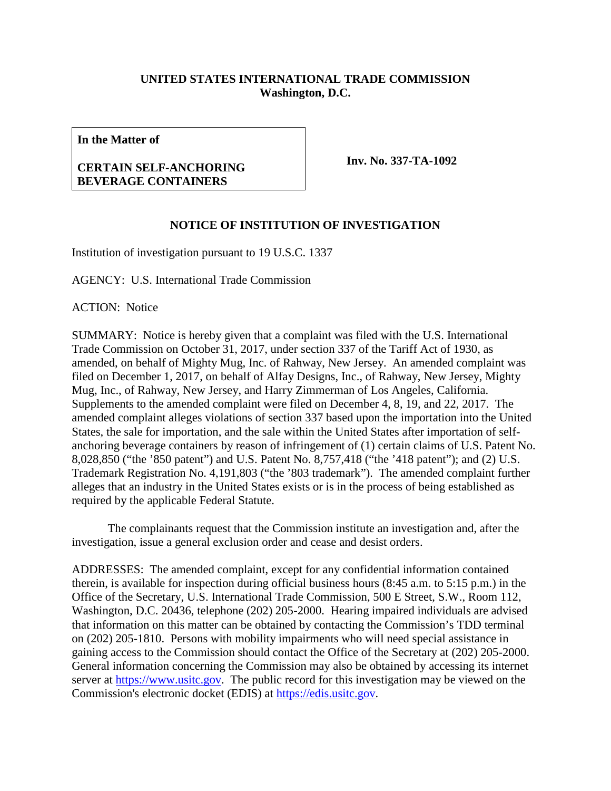# **UNITED STATES INTERNATIONAL TRADE COMMISSION Washington, D.C.**

**In the Matter of**

## **CERTAIN SELF-ANCHORING BEVERAGE CONTAINERS**

**Inv. No. 337-TA-1092**

## **NOTICE OF INSTITUTION OF INVESTIGATION**

Institution of investigation pursuant to 19 U.S.C. 1337

AGENCY: U.S. International Trade Commission

ACTION: Notice

SUMMARY: Notice is hereby given that a complaint was filed with the U.S. International Trade Commission on October 31, 2017, under section 337 of the Tariff Act of 1930, as amended, on behalf of Mighty Mug, Inc. of Rahway, New Jersey. An amended complaint was filed on December 1, 2017, on behalf of Alfay Designs, Inc., of Rahway, New Jersey, Mighty Mug, Inc., of Rahway, New Jersey, and Harry Zimmerman of Los Angeles, California. Supplements to the amended complaint were filed on December 4, 8, 19, and 22, 2017. The amended complaint alleges violations of section 337 based upon the importation into the United States, the sale for importation, and the sale within the United States after importation of selfanchoring beverage containers by reason of infringement of (1) certain claims of U.S. Patent No. 8,028,850 ("the '850 patent") and U.S. Patent No. 8,757,418 ("the '418 patent"); and (2) U.S. Trademark Registration No. 4,191,803 ("the '803 trademark"). The amended complaint further alleges that an industry in the United States exists or is in the process of being established as required by the applicable Federal Statute.

The complainants request that the Commission institute an investigation and, after the investigation, issue a general exclusion order and cease and desist orders.

ADDRESSES: The amended complaint, except for any confidential information contained therein, is available for inspection during official business hours (8:45 a.m. to 5:15 p.m.) in the Office of the Secretary, U.S. International Trade Commission, 500 E Street, S.W., Room 112, Washington, D.C. 20436, telephone (202) 205-2000. Hearing impaired individuals are advised that information on this matter can be obtained by contacting the Commission's TDD terminal on (202) 205-1810. Persons with mobility impairments who will need special assistance in gaining access to the Commission should contact the Office of the Secretary at (202) 205-2000. General information concerning the Commission may also be obtained by accessing its internet server at [https://www.usitc.gov.](https://www.usitc.gov/) The public record for this investigation may be viewed on the Commission's electronic docket (EDIS) at [https://edis.usitc.gov.](https://edis.usitc.gov/)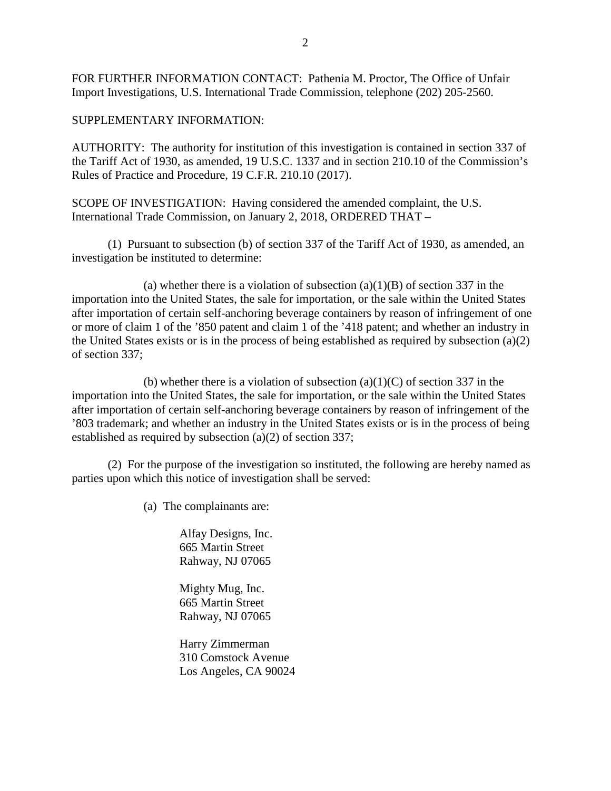FOR FURTHER INFORMATION CONTACT: Pathenia M. Proctor, The Office of Unfair Import Investigations, U.S. International Trade Commission, telephone (202) 205-2560.

SUPPLEMENTARY INFORMATION:

AUTHORITY: The authority for institution of this investigation is contained in section 337 of the Tariff Act of 1930, as amended, 19 U.S.C. 1337 and in section 210.10 of the Commission's Rules of Practice and Procedure, 19 C.F.R. 210.10 (2017).

SCOPE OF INVESTIGATION: Having considered the amended complaint, the U.S. International Trade Commission, on January 2, 2018, ORDERED THAT –

(1) Pursuant to subsection (b) of section 337 of the Tariff Act of 1930, as amended, an investigation be instituted to determine:

(a) whether there is a violation of subsection  $(a)(1)(B)$  of section 337 in the importation into the United States, the sale for importation, or the sale within the United States after importation of certain self-anchoring beverage containers by reason of infringement of one or more of claim 1 of the '850 patent and claim 1 of the '418 patent; and whether an industry in the United States exists or is in the process of being established as required by subsection (a)(2) of section 337;

(b) whether there is a violation of subsection  $(a)(1)(C)$  of section 337 in the importation into the United States, the sale for importation, or the sale within the United States after importation of certain self-anchoring beverage containers by reason of infringement of the '803 trademark; and whether an industry in the United States exists or is in the process of being established as required by subsection (a)(2) of section 337;

(2) For the purpose of the investigation so instituted, the following are hereby named as parties upon which this notice of investigation shall be served:

(a) The complainants are:

Alfay Designs, Inc. 665 Martin Street Rahway, NJ 07065

Mighty Mug, Inc. 665 Martin Street Rahway, NJ 07065

Harry Zimmerman 310 Comstock Avenue Los Angeles, CA 90024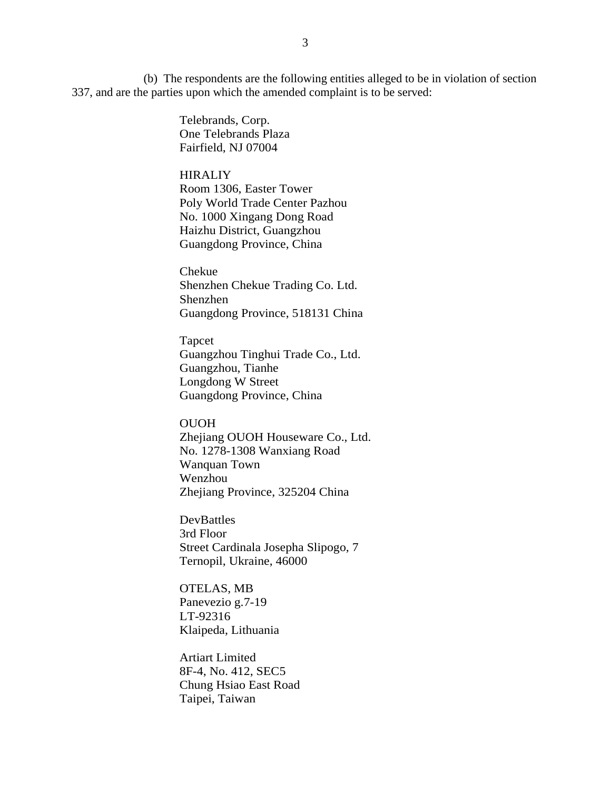(b) The respondents are the following entities alleged to be in violation of section 337, and are the parties upon which the amended complaint is to be served:

> Telebrands, Corp. One Telebrands Plaza Fairfield, NJ 07004

#### **HIRALIY**

Room 1306, Easter Tower Poly World Trade Center Pazhou No. 1000 Xingang Dong Road Haizhu District, Guangzhou Guangdong Province, China

Chekue Shenzhen Chekue Trading Co. Ltd. Shenzhen Guangdong Province, 518131 China

Tapcet Guangzhou Tinghui Trade Co., Ltd. Guangzhou, Tianhe Longdong W Street Guangdong Province, China

### OUOH

Zhejiang OUOH Houseware Co., Ltd. No. 1278-1308 Wanxiang Road Wanquan Town Wenzhou Zhejiang Province, 325204 China

DevBattles 3rd Floor Street Cardinala Josepha Slipogo, 7 Ternopil, Ukraine, 46000

OTELAS, MB Panevezio g.7-19 LT-92316 Klaipeda, Lithuania

Artiart Limited 8F-4, No. 412, SEC5 Chung Hsiao East Road Taipei, Taiwan